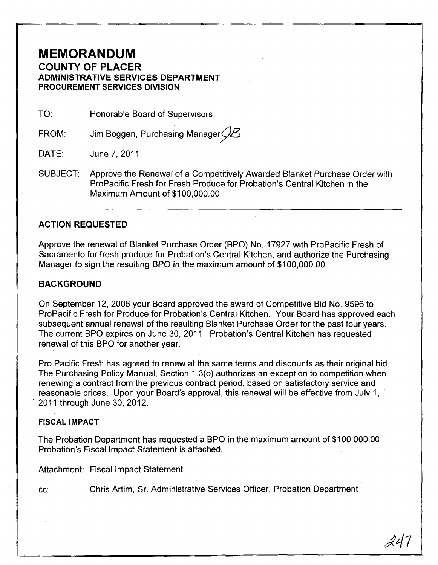# **MEMORANDUM**

**COUNTY OF PLACER ADMINISTRATIVE SERVICES DEPARTMENT PROCUREMENT SERVICES DIVISION** 

TO: Honorable Board of Supervisors

FROM: Jim Boggan, Purchasing Manager $Q\mathcal{B}$ 

DATE: June 7, 2011

SUBJECT: Approve the Renewal of a Competitively Awarded Blanket Purchase Order with ProPacific Fresh for Fresh Produce for Probation's Central Kitchen in the Maximum Amount of \$100,000.00

## **ACTION REQUESTED**

Approve the renewal of Blanket Purchase Order (BPO) No. 17927 with ProPacific Fresh of Sacramento for fresh produce for Probation's Central Kitchen, and authorize the Purchasing Manager to sign the resulting BPO in the maximum amount of \$100,000.00.

### **BACKGROUND**

On September 12, 2006 your Board approved the award of Competitive Bid No. 9596 to ProPacific Fresh for Produce for Probation's Central Kitchen. Your Board has approved each subsequent annual renewal of the resulting Blanket Purchase Order for the past four years. The current BPO expires on June 30, 2011. Probation's Central Kitchen has requested renewal of this BPO for another year.

Pro Pacific Fresh has agreed to renew at the same terms and discounts as their original bid. The Purchasing Policy Manual, Section 1.3(0) authorizes an exception to competition when renewing a contract from the previous contract period, based on satisfactory service and reasonable prices. Upon your Board's approval, this renewal will be effective from July 1, , 2011 through June 30, 2012. .

#### **FISCAL IMPACT**

The Probation Department has requested a BPO in the maximum amount of \$100,000.00. Probation's Fiscal Impact Statement is attached.

Attachment: Fiscal Impact Statement

cc: Chris Artim, Sr. Administrative Services Officer, Probation Department